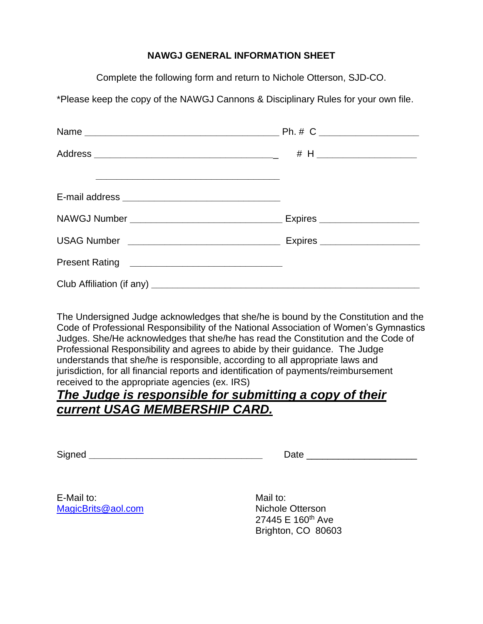## **NAWGJ GENERAL INFORMATION SHEET**

Complete the following form and return to Nichole Otterson, SJD-CO.

\*Please keep the copy of the NAWGJ Cannons & Disciplinary Rules for your own file.

The Undersigned Judge acknowledges that she/he is bound by the Constitution and the Code of Professional Responsibility of the National Association of Women's Gymnastics Judges. She/He acknowledges that she/he has read the Constitution and the Code of Professional Responsibility and agrees to abide by their guidance. The Judge understands that she/he is responsible, according to all appropriate laws and jurisdiction, for all financial reports and identification of payments/reimbursement received to the appropriate agencies (ex. IRS)

## *The Judge is responsible for submitting a copy of their current USAG MEMBERSHIP CARD.*

Signed **\_\_\_\_\_\_\_\_\_\_\_\_\_\_\_\_\_\_\_\_\_\_\_\_\_\_\_\_\_\_\_\_\_** Date \_\_\_\_\_\_\_\_\_\_\_\_\_\_\_\_\_\_\_\_\_

E-Mail to: Mail to: Mail to: Mail to: Mail to: Mail to: Mail to: Mail to: Mail to: Mail to:  $\blacksquare$ [MagicBrits@aol.com](mailto:MagicBrits@aol.com) Nichole Otterson

27445 E 160<sup>th</sup> Ave Brighton, CO 80603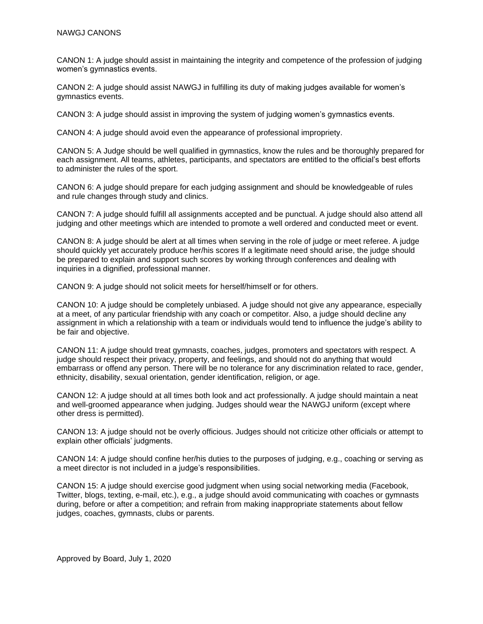CANON 1: A judge should assist in maintaining the integrity and competence of the profession of judging women's gymnastics events.

CANON 2: A judge should assist NAWGJ in fulfilling its duty of making judges available for women's gymnastics events.

CANON 3: A judge should assist in improving the system of judging women's gymnastics events.

CANON 4: A judge should avoid even the appearance of professional impropriety.

CANON 5: A Judge should be well qualified in gymnastics, know the rules and be thoroughly prepared for each assignment. All teams, athletes, participants, and spectators are entitled to the official's best efforts to administer the rules of the sport.

CANON 6: A judge should prepare for each judging assignment and should be knowledgeable of rules and rule changes through study and clinics.

CANON 7: A judge should fulfill all assignments accepted and be punctual. A judge should also attend all judging and other meetings which are intended to promote a well ordered and conducted meet or event.

CANON 8: A judge should be alert at all times when serving in the role of judge or meet referee. A judge should quickly yet accurately produce her/his scores If a legitimate need should arise, the judge should be prepared to explain and support such scores by working through conferences and dealing with inquiries in a dignified, professional manner.

CANON 9: A judge should not solicit meets for herself/himself or for others.

CANON 10: A judge should be completely unbiased. A judge should not give any appearance, especially at a meet, of any particular friendship with any coach or competitor. Also, a judge should decline any assignment in which a relationship with a team or individuals would tend to influence the judge's ability to be fair and objective.

CANON 11: A judge should treat gymnasts, coaches, judges, promoters and spectators with respect. A judge should respect their privacy, property, and feelings, and should not do anything that would embarrass or offend any person. There will be no tolerance for any discrimination related to race, gender, ethnicity, disability, sexual orientation, gender identification, religion, or age.

CANON 12: A judge should at all times both look and act professionally. A judge should maintain a neat and well-groomed appearance when judging. Judges should wear the NAWGJ uniform (except where other dress is permitted).

CANON 13: A judge should not be overly officious. Judges should not criticize other officials or attempt to explain other officials' judgments.

CANON 14: A judge should confine her/his duties to the purposes of judging, e.g., coaching or serving as a meet director is not included in a judge's responsibilities.

CANON 15: A judge should exercise good judgment when using social networking media (Facebook, Twitter, blogs, texting, e-mail, etc.), e.g., a judge should avoid communicating with coaches or gymnasts during, before or after a competition; and refrain from making inappropriate statements about fellow judges, coaches, gymnasts, clubs or parents.

Approved by Board, July 1, 2020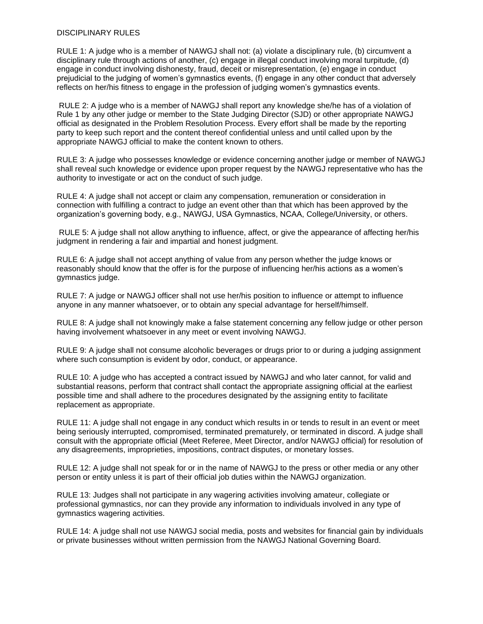## DISCIPLINARY RULES

RULE 1: A judge who is a member of NAWGJ shall not: (a) violate a disciplinary rule, (b) circumvent a disciplinary rule through actions of another, (c) engage in illegal conduct involving moral turpitude, (d) engage in conduct involving dishonesty, fraud, deceit or misrepresentation, (e) engage in conduct prejudicial to the judging of women's gymnastics events, (f) engage in any other conduct that adversely reflects on her/his fitness to engage in the profession of judging women's gymnastics events.

RULE 2: A judge who is a member of NAWGJ shall report any knowledge she/he has of a violation of Rule 1 by any other judge or member to the State Judging Director (SJD) or other appropriate NAWGJ official as designated in the Problem Resolution Process. Every effort shall be made by the reporting party to keep such report and the content thereof confidential unless and until called upon by the appropriate NAWGJ official to make the content known to others.

RULE 3: A judge who possesses knowledge or evidence concerning another judge or member of NAWGJ shall reveal such knowledge or evidence upon proper request by the NAWGJ representative who has the authority to investigate or act on the conduct of such judge.

RULE 4: A judge shall not accept or claim any compensation, remuneration or consideration in connection with fulfilling a contract to judge an event other than that which has been approved by the organization's governing body, e.g., NAWGJ, USA Gymnastics, NCAA, College/University, or others.

RULE 5: A judge shall not allow anything to influence, affect, or give the appearance of affecting her/his judgment in rendering a fair and impartial and honest judgment.

RULE 6: A judge shall not accept anything of value from any person whether the judge knows or reasonably should know that the offer is for the purpose of influencing her/his actions as a women's gymnastics judge.

RULE 7: A judge or NAWGJ officer shall not use her/his position to influence or attempt to influence anyone in any manner whatsoever, or to obtain any special advantage for herself/himself.

RULE 8: A judge shall not knowingly make a false statement concerning any fellow judge or other person having involvement whatsoever in any meet or event involving NAWGJ.

RULE 9: A judge shall not consume alcoholic beverages or drugs prior to or during a judging assignment where such consumption is evident by odor, conduct, or appearance.

RULE 10: A judge who has accepted a contract issued by NAWGJ and who later cannot, for valid and substantial reasons, perform that contract shall contact the appropriate assigning official at the earliest possible time and shall adhere to the procedures designated by the assigning entity to facilitate replacement as appropriate.

RULE 11: A judge shall not engage in any conduct which results in or tends to result in an event or meet being seriously interrupted, compromised, terminated prematurely, or terminated in discord. A judge shall consult with the appropriate official (Meet Referee, Meet Director, and/or NAWGJ official) for resolution of any disagreements, improprieties, impositions, contract disputes, or monetary losses.

RULE 12: A judge shall not speak for or in the name of NAWGJ to the press or other media or any other person or entity unless it is part of their official job duties within the NAWGJ organization.

RULE 13: Judges shall not participate in any wagering activities involving amateur, collegiate or professional gymnastics, nor can they provide any information to individuals involved in any type of gymnastics wagering activities.

RULE 14: A judge shall not use NAWGJ social media, posts and websites for financial gain by individuals or private businesses without written permission from the NAWGJ National Governing Board.